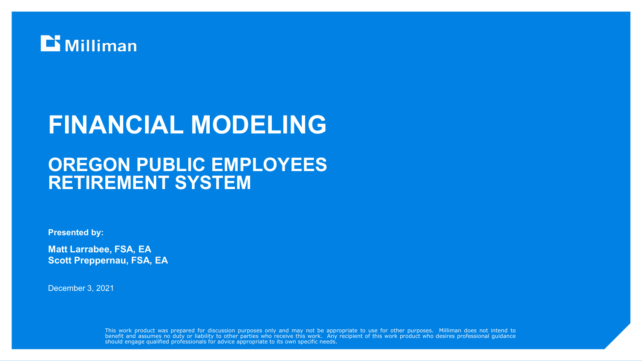

# **FINANCIAL MODELING**

## **OREGON PUBLIC EMPLOYEES RETIREMENT SYSTEM**

**Presented by:**

**Matt Larrabee, FSA, EA Scott Preppernau, FSA, EA**

December 3, 2021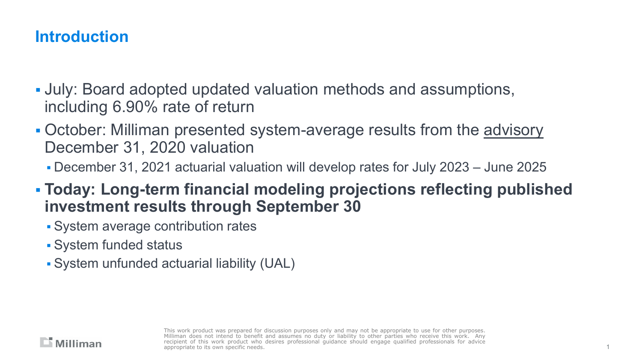## **Introduction**

- July: Board adopted updated valuation methods and assumptions, including 6.90% rate of return
- October: Milliman presented system-average results from the advisory December 31, 2020 valuation
	- December 31, 2021 actuarial valuation will develop rates for July 2023 June 2025
- **Today: Long-term financial modeling projections reflecting published investment results through September 30**
	- System average contribution rates
	- System funded status
	- System unfunded actuarial liability (UAL)

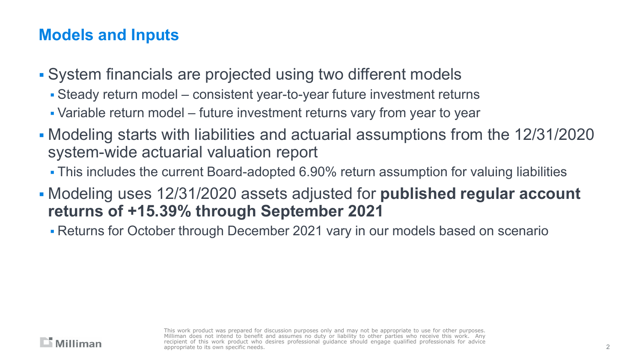## **Models and Inputs**

- System financials are projected using two different models
	- Steady return model consistent year-to-year future investment returns
	- Variable return model future investment returns vary from year to year
- Modeling starts with liabilities and actuarial assumptions from the 12/31/2020 system-wide actuarial valuation report
	- This includes the current Board-adopted 6.90% return assumption for valuing liabilities
- Modeling uses 12/31/2020 assets adjusted for **published regular account returns of +15.39% through September 2021**
	- Returns for October through December 2021 vary in our models based on scenario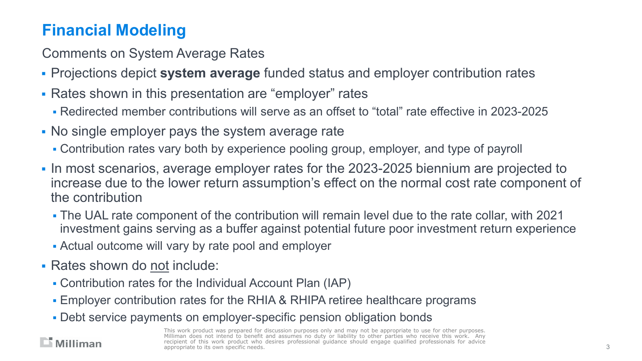## **Financial Modeling**

Comments on System Average Rates

- Projections depict **system average** funded status and employer contribution rates
- Rates shown in this presentation are "employer" rates
	- Redirected member contributions will serve as an offset to "total" rate effective in 2023-2025
- No single employer pays the system average rate
	- Contribution rates vary both by experience pooling group, employer, and type of payroll
- In most scenarios, average employer rates for the 2023-2025 biennium are projected to increase due to the lower return assumption's effect on the normal cost rate component of the contribution
	- The UAL rate component of the contribution will remain level due to the rate collar, with 2021 investment gains serving as a buffer against potential future poor investment return experience
	- Actual outcome will vary by rate pool and employer
- Rates shown do not include:

 $\Box$  Milliman

- Contribution rates for the Individual Account Plan (IAP)
- Employer contribution rates for the RHIA & RHIPA retiree healthcare programs
- Debt service payments on employer-specific pension obligation bonds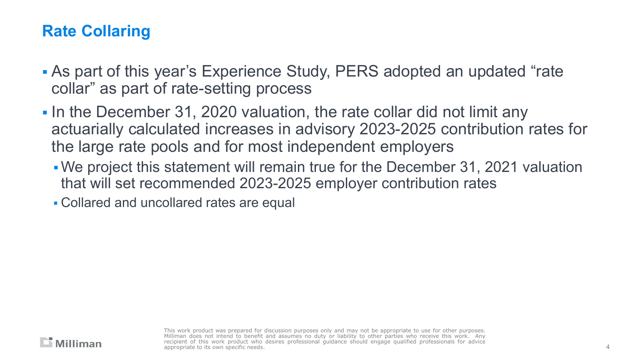## **Rate Collaring**

- As part of this year's Experience Study, PERS adopted an updated "rate collar" as part of rate-setting process
- In the December 31, 2020 valuation, the rate collar did not limit any actuarially calculated increases in advisory 2023-2025 contribution rates for the large rate pools and for most independent employers
	- We project this statement will remain true for the December 31, 2021 valuation that will set recommended 2023-2025 employer contribution rates

Collared and uncollared rates are equal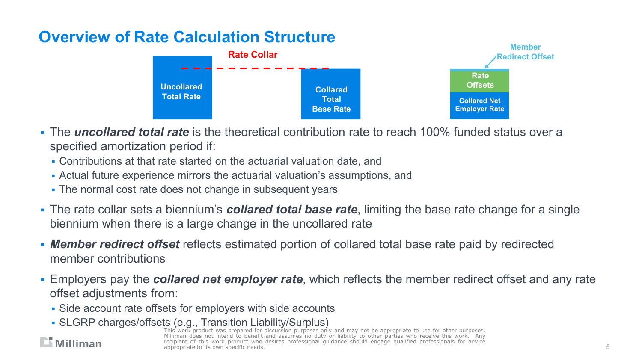## **Overview of Rate Calculation Structure**



- The *uncollared total rate* is the theoretical contribution rate to reach 100% funded status over a specified amortization period if:
	- Contributions at that rate started on the actuarial valuation date, and
	- Actual future experience mirrors the actuarial valuation's assumptions, and
	- The normal cost rate does not change in subsequent years
- The rate collar sets a biennium's *collared total base rate*, limiting the base rate change for a single biennium when there is a large change in the uncollared rate
- *Member redirect offset* reflects estimated portion of collared total base rate paid by redirected member contributions
- Employers pay the *collared net employer rate*, which reflects the member redirect offset and any rate offset adjustments from:
	- Side account rate offsets for employers with side accounts
	- **SLGRP charges/offsets (e.g., Transition Liability/Surplus)**<br>This work product was prepared for discussion purposes only and may not be appropriate to use for other purposes.

Milliman does not intend to benefit and assumes no duty or liability to other parties who receive this work. Any recipient of this work product who desires professional quidance should engage qualified professionals for advice appropriate to its own specific needs.

#### $\Box$  Milliman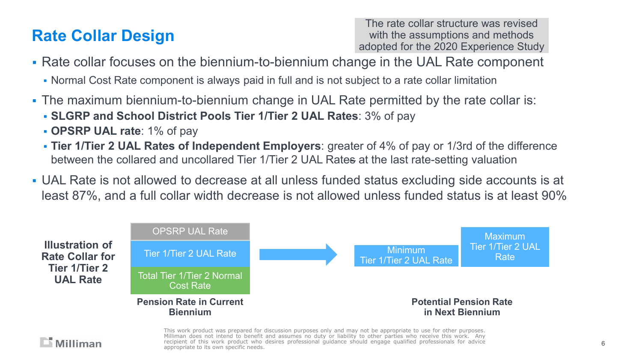## **Rate Collar Design**

 $\Box$  Milliman

The rate collar structure was revised with the assumptions and methods adopted for the 2020 Experience Study

- Rate collar focuses on the biennium-to-biennium change in the UAL Rate component
	- Normal Cost Rate component is always paid in full and is not subject to a rate collar limitation
- The maximum biennium-to-biennium change in UAL Rate permitted by the rate collar is:
	- **SLGRP and School District Pools Tier 1/Tier 2 UAL Rates**: 3% of pay
	- **OPSRP UAL rate**: 1% of pay
	- **Tier 1/Tier 2 UAL Rates of Independent Employers**: greater of 4% of pay or 1/3rd of the difference between the collared and uncollared Tier 1/Tier 2 UAL Rates at the last rate-setting valuation
- UAL Rate is not allowed to decrease at all unless funded status excluding side accounts is at least 87%, and a full collar width decrease is not allowed unless funded status is at least 90%

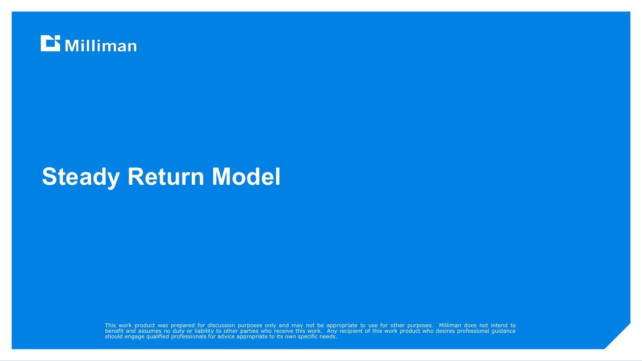

## **Steady Return Model**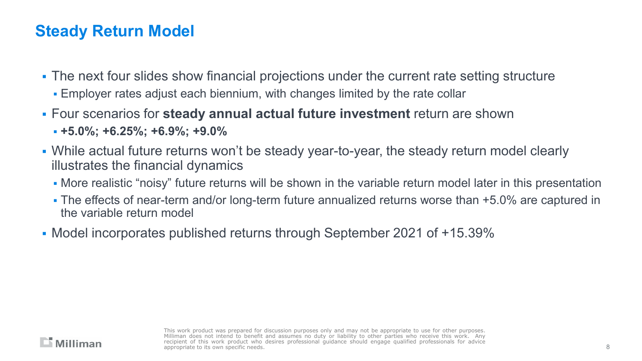## **Steady Return Model**

- The next four slides show financial projections under the current rate setting structure
	- Employer rates adjust each biennium, with changes limited by the rate collar
- Four scenarios for **steady annual actual future investment** return are shown
	- **+5.0%; +6.25%; +6.9%; +9.0%**
- While actual future returns won't be steady year-to-year, the steady return model clearly illustrates the financial dynamics
	- More realistic "noisy" future returns will be shown in the variable return model later in this presentation
	- The effects of near-term and/or long-term future annualized returns worse than +5.0% are captured in the variable return model
- Model incorporates published returns through September 2021 of +15.39%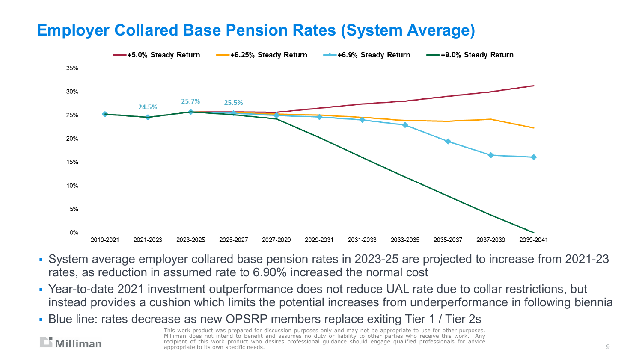## **Employer Collared Base Pension Rates (System Average)**



- System average employer collared base pension rates in 2023-25 are projected to increase from 2021-23 rates, as reduction in assumed rate to 6.90% increased the normal cost
- Year-to-date 2021 investment outperformance does not reduce UAL rate due to collar restrictions, but instead provides a cushion which limits the potential increases from underperformance in following biennia
- Blue line: rates decrease as new OPSRP members replace exiting Tier 1 / Tier 2s

 $\Box$  Milliman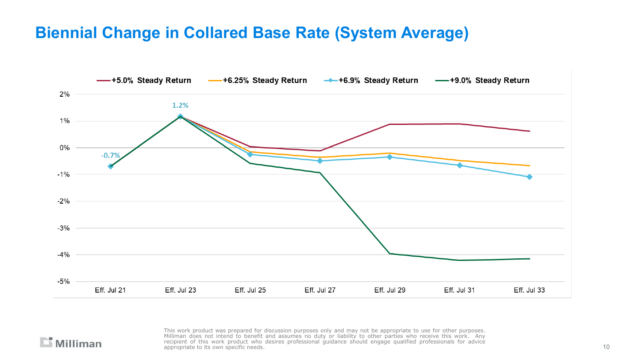## **Biennial Change in Collared Base Rate (System Average)**



#### $\Box$  Milliman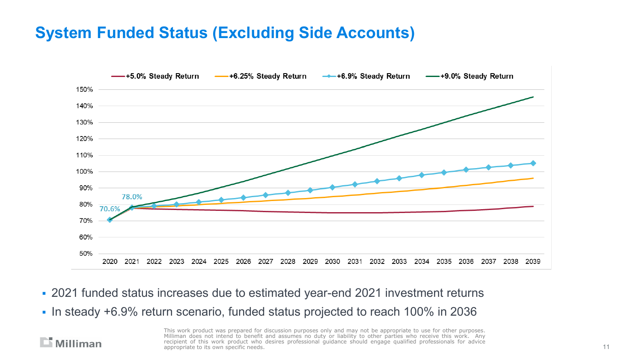## **System Funded Status (Excluding Side Accounts)**



- 2021 funded status increases due to estimated year-end 2021 investment returns
- In steady +6.9% return scenario, funded status projected to reach 100% in 2036

#### $\Box$  Milliman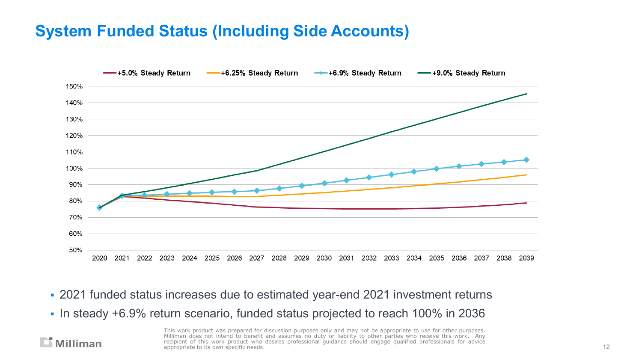## **System Funded Status (Including Side Accounts)**



- 2021 funded status increases due to estimated year-end 2021 investment returns
- In steady +6.9% return scenario, funded status projected to reach 100% in 2036

 $\Box$  Milliman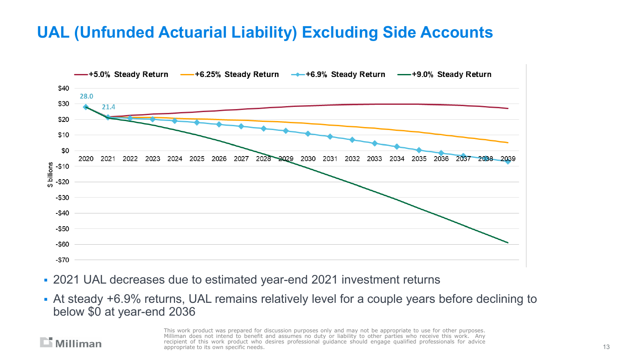## **UAL (Unfunded Actuarial Liability) Excluding Side Accounts**



- 2021 UAL decreases due to estimated year-end 2021 investment returns
- At steady +6.9% returns, UAL remains relatively level for a couple years before declining to below \$0 at year-end 2036

#### $\Box$  Milliman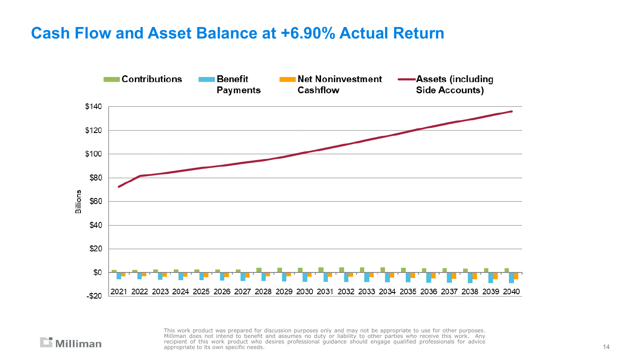#### **Cash Flow and Asset Balance at +6.90% Actual Return**



 $\Box$  Milliman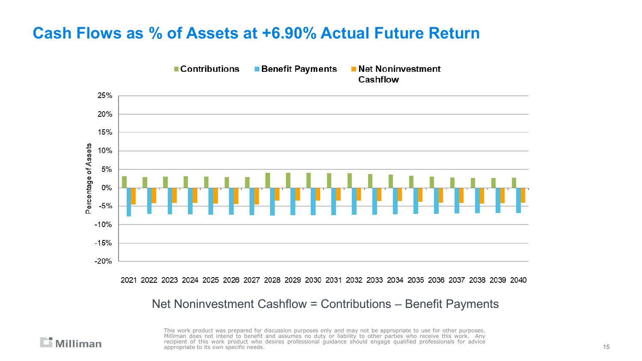## **Cash Flows as % of Assets at +6.90% Actual Future Return**



2021 2022 2023 2024 2025 2026 2027 2028 2029 2030 2031 2032 2033 2034 2035 2036 2037 2038 2039 2040

Net Noninvestment Cashflow = Contributions – Benefit Payments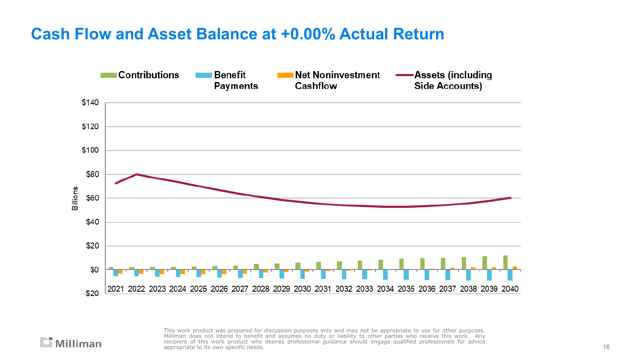#### **Cash Flow and Asset Balance at +0.00% Actual Return**



 $\Box$  Milliman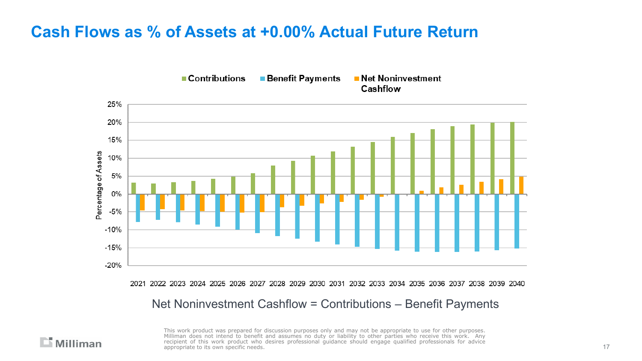## **Cash Flows as % of Assets at +0.00% Actual Future Return**

 $\mathbb{L}$  Milliman



2021 2022 2023 2024 2025 2026 2027 2028 2029 2030 2031 2032 2033 2034 2035 2036 2037 2038 2039 2040

Net Noninvestment Cashflow = Contributions – Benefit Payments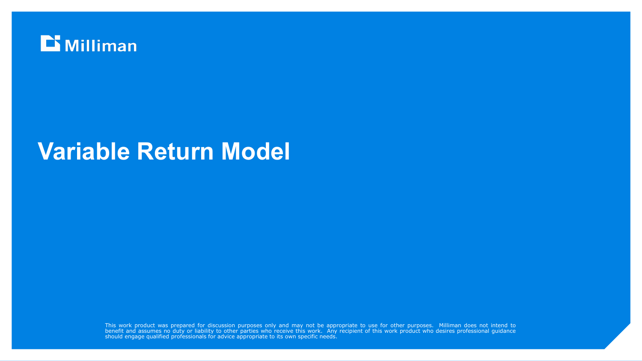

## **Variable Return Model**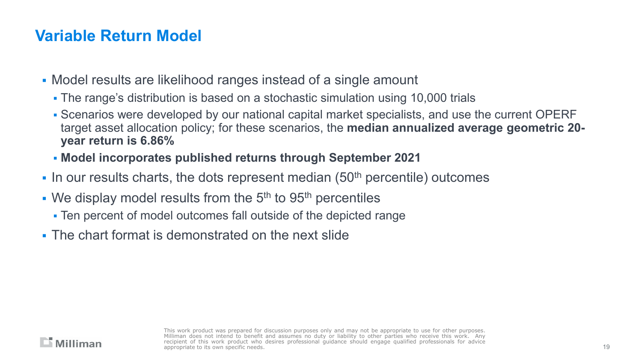## **Variable Return Model**

- Model results are likelihood ranges instead of a single amount
	- The range's distribution is based on a stochastic simulation using 10,000 trials
	- Scenarios were developed by our national capital market specialists, and use the current OPERF target asset allocation policy; for these scenarios, the **median annualized average geometric 20 year return is 6.86%**
	- **Model incorporates published returns through September 2021**
- In our results charts, the dots represent median  $(50<sup>th</sup>$  percentile) outcomes
- We display model results from the  $5<sup>th</sup>$  to  $95<sup>th</sup>$  percentiles
	- Ten percent of model outcomes fall outside of the depicted range
- **The chart format is demonstrated on the next slide**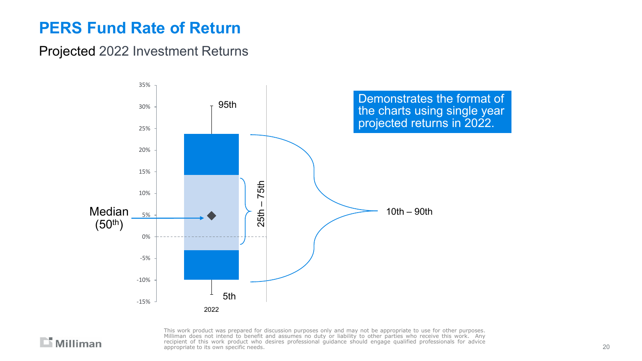## **PERS Fund Rate of Return**

#### Projected 2022 Investment Returns



 $\mathbf{r}$  Milliman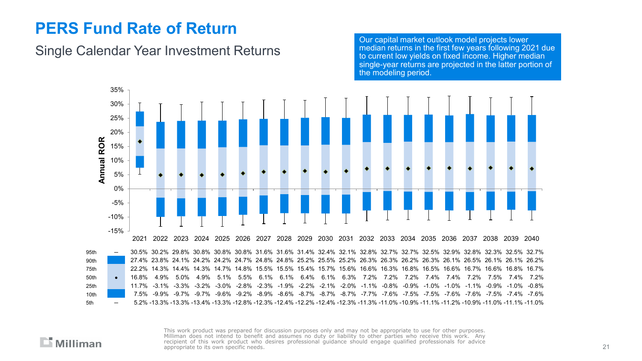## **PERS Fund Rate of Return**

#### Single Calendar Year Investment Returns

Our capital market outlook model projects lower median returns in the first few years following 2021 due to current low yields on fixed income. Higher median single-year returns are projected in the latter portion of the modeling period.



95th ─ 30.5% 30.2% 29.8% 30.8% 30.8% 30.8% 31.6% 31.6% 31.4% 32.4% 32.1% 32.8% 32.7% 32.7% 32.5% 32.9% 32.8% 32.3% 32.5% 32.7% 90th 27.4% 23.8% 24.1% 24.2% 24.2% 24.7% 24.8% 24.8% 25.2% 25.5% 25.2% 26.3% 26.3% 26.2% 26.3% 26.1% 26.5% 26.1% 26.1% 26.2% 75th 22.2% 14.3% 14.4% 14.3% 14.7% 14.8% 15.5% 15.5% 15.4% 15.7% 15.6% 16.6% 16.3% 16.8% 16.5% 16.6% 16.7% 16.6% 16.8% 16.7% 50th ● 16.8% 4.9% 5.0% 4.9% 5.1% 5.5% 6.1% 6.1% 6.4% 6.1% 6.3% 7.2% 7.2% 7.2% 7.4% 7.4% 7.2% 7.5% 7.4% 7.2% 25th 11.7% -3.1% -3.3% -3.2% -3.0% -2.8% -2.3% -1.9% -2.2% -2.1% -2.0% -1.1% -0.8% -0.9% -1.0% -1.0% -1.1% -0.9% -1.0% -0.8% 10th 7.5% -9.9% -9.7% -9.7% -9.6% -9.2% -8.9% -8.6% -8.7% -8.7% -8.7% -7.7% -7.6% -7.5% -7.5% -7.6% -7.6% -7.5% -7.4% -7.6% 5th ─ 5.2% -13.3% -13.3% -13.4% -13.3% -12.8% -12.3% -12.4% -12.2% -12.4% -12.3% -11.3% -11.0% -10.9% -11.1% -11.2% -10.9% -11.0% -11.1% -11.0%

 $\Box$  Milliman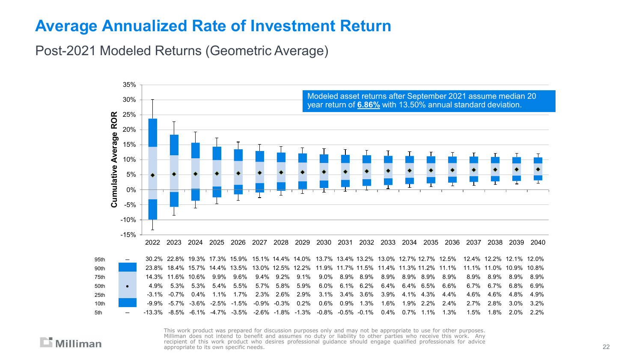#### **Average Annualized Rate of Investment Return**

Post-2021 Modeled Returns (Geometric Average)

 $\Box$  Milliman

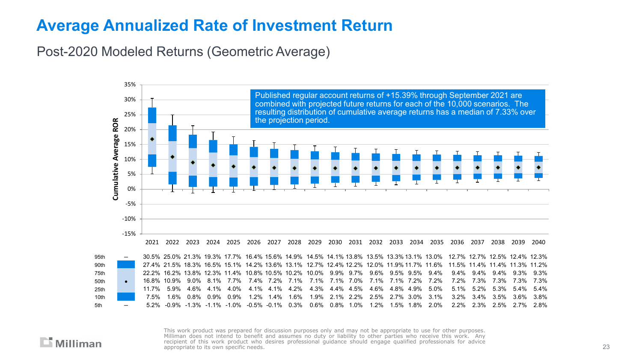#### **Average Annualized Rate of Investment Return**

Post-2020 Modeled Returns (Geometric Average)



 $\Box$  Milliman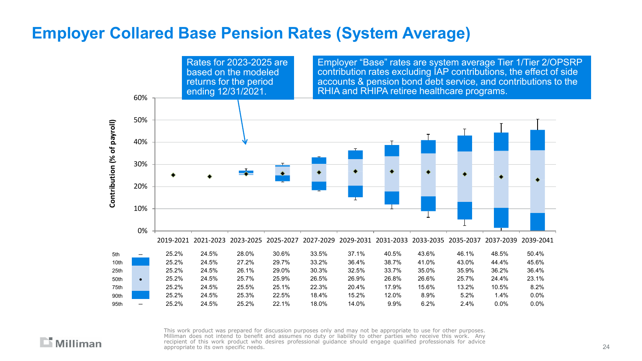## **Employer Collared Base Pension Rates (System Average)**

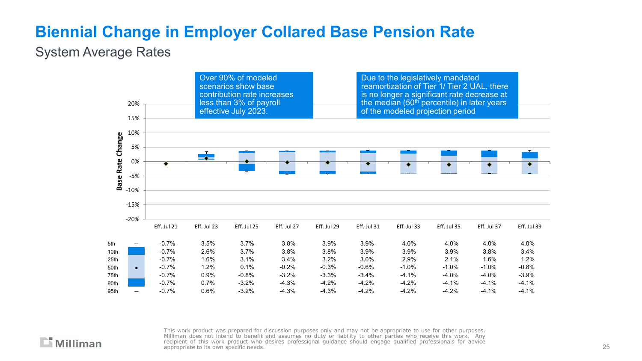## **Biennial Change in Employer Collared Base Pension Rate**

#### System Average Rates

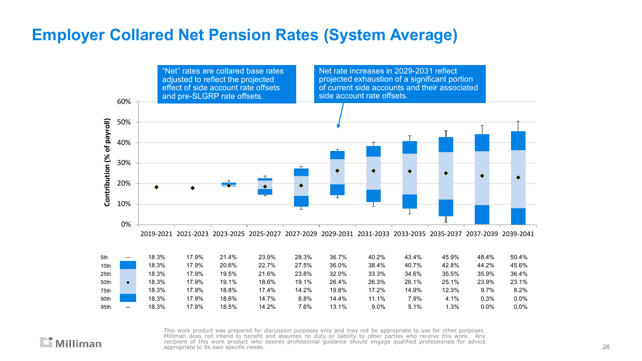## **Employer Collared Net Pension Rates (System Average)**

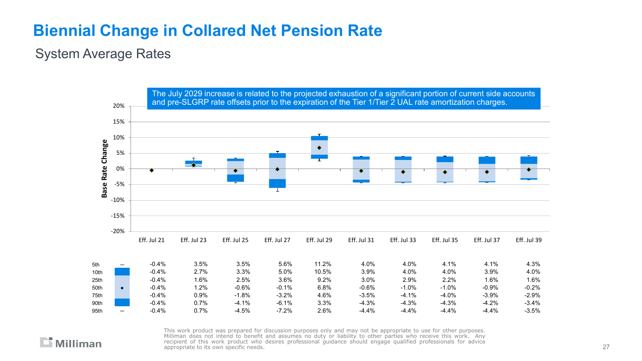## **Biennial Change in Collared Net Pension Rate**

#### System Average Rates



 $\Box$  Milliman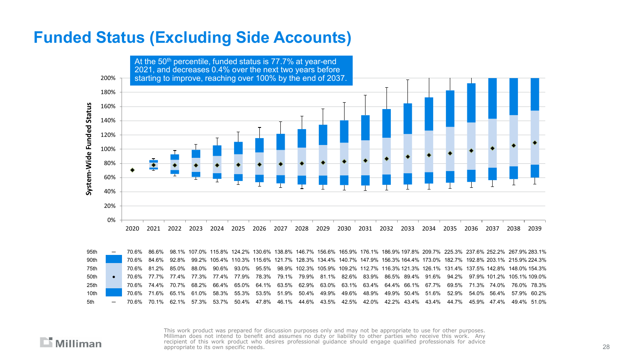#### **Funded Status (Excluding Side Accounts)**



95th ─ 70.6% 86.6% 98.1% 107.0% 115.8% 124.2% 130.6% 138.8% 146.7% 156.6% 165.9% 176.1% 186.9% 197.8% 209.7% 225.3% 237.6% 252.2% 267.9% 283.1% 90th 70.6% 84.6% 92.8% 99.2% 105.4% 110.3% 115.6% 121.7% 128.3% 134.4% 140.7% 147.9% 156.3% 164.4% 173.0% 182.7% 192.8% 203.1% 215.9% 224.3% 75th 70.6% 81.2% 85.0% 88.0% 90.6% 93.0% 95.5% 98.9% 102.3% 105.9% 109.2% 112.7% 116.3% 121.3% 126.1% 131.4% 137.5% 142.8% 148.0% 154.3% 50th ● 70.6% 77.7% 77.4% 77.3% 77.4% 77.9% 78.3% 79.1% 79.9% 81.1% 82.6% 83.9% 86.5% 89.4% 91.6% 94.2% 97.9% 101.2% 105.1% 109.0% 25th 70.6% 74.4% 70.7% 68.2% 66.4% 65.0% 64.1% 63.5% 62.9% 63.0% 63.1% 63.4% 64.4% 66.1% 67.7% 69.5% 71.3% 74.0% 76.0% 78.3% 10th 70.6% 71.6% 65.1% 61.0% 58.3% 55.3% 53.5% 51.9% 50.4% 49.9% 49.6% 48.9% 49.9% 50.4% 51.6% 52.9% 54.0% 56.4% 57.9% 60.2% 5th ─ 70.6% 70.1% 62.1% 57.3% 53.7% 50.4% 47.8% 46.1% 44.6% 43.5% 42.5% 42.0% 42.2% 43.4% 43.4% 44.7% 45.9% 47.4% 49.4% 51.0%

 $\mathbb{L}$  Milliman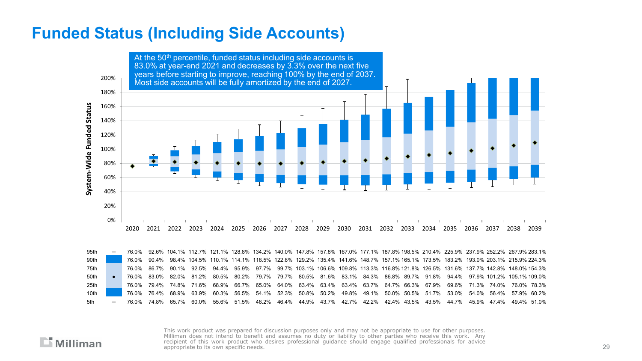#### **Funded Status (Including Side Accounts)**



95th ─ 76.0% 92.6% 104.1% 112.7% 121.1% 128.8% 134.2% 140.0% 147.8% 157.8% 167.0% 177.1% 187.8% 198.5% 210.4% 225.9% 237.9% 252.2% 267.9% 283.1% 90th 76.0% 90.4% 98.4% 104.5% 110.1% 114.1% 118.5% 122.8% 129.2% 135.4% 141.6% 148.7% 157.1% 165.1% 173.5% 183.2% 193.0% 203.1% 215.9% 224.3% 75th 76.0% 86.7% 90.1% 92.5% 94.4% 95.9% 97.7% 99.7% 103.1% 106.6% 109.8% 113.3% 116.8% 121.8% 126.5% 131.6% 137.7% 142.8% 148.0% 154.3% 50th ● 76.0% 83.0% 82.0% 81.2% 80.5% 80.2% 79.7% 79.7% 80.5% 81.6% 83.1% 84.3% 86.8% 89.7% 91.8% 94.4% 97.9% 101.2% 105.1% 109.0% 25th 76.0% 79.4% 74.8% 71.6% 68.9% 66.7% 65.0% 64.0% 63.4% 63.4% 63.4% 63.7% 64.7% 66.3% 67.9% 69.6% 71.3% 74.0% 76.0% 78.3% 10th 76.0% 76.4% 68.9% 63.9% 60.3% 56.5% 54.1% 52.3% 50.8% 50.2% 49.8% 49.1% 50.0% 50.5% 51.7% 53.0% 54.0% 56.4% 57.9% 60.2% 5th ─ 76.0% 74.8% 65.7% 60.0% 55.6% 51.5% 48.2% 46.4% 44.9% 43.7% 42.7% 42.2% 42.4% 43.5% 43.5% 44.7% 45.9% 47.4% 49.4% 51.0%

 $\mathbb{L}$  Milliman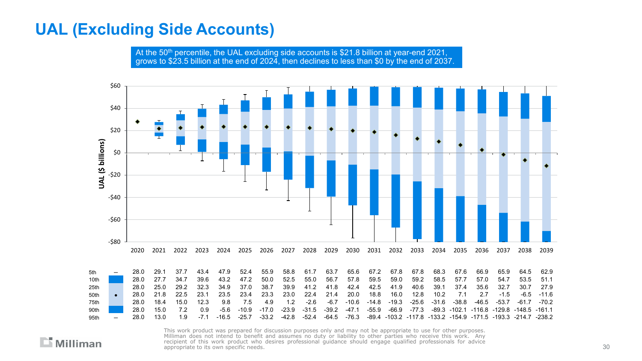## **UAL (Excluding Side Accounts)**

At the 50<sup>th</sup> percentile, the UAL excluding side accounts is \$21.8 billion at year-end 2021, grows to \$23.5 billion at the end of 2024, then declines to less than \$0 by the end of 2037.

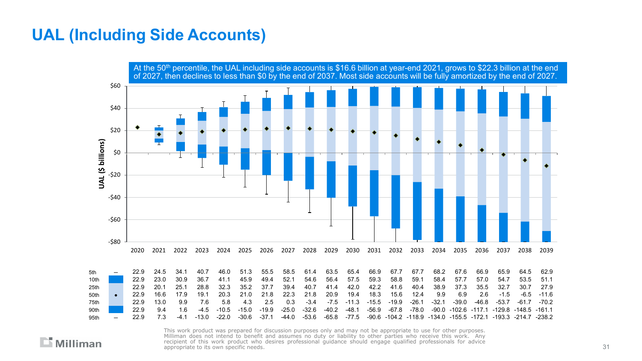#### **UAL (Including Side Accounts)**

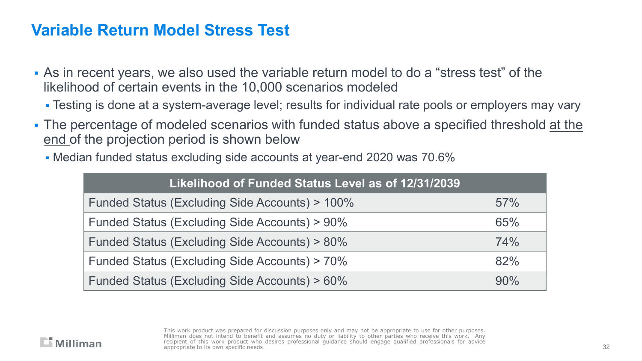- As in recent years, we also used the variable return model to do a "stress test" of the likelihood of certain events in the 10,000 scenarios modeled
	- Testing is done at a system-average level; results for individual rate pools or employers may vary
- The percentage of modeled scenarios with funded status above a specified threshold at the end of the projection period is shown below
	- Median funded status excluding side accounts at year-end 2020 was 70.6%

| Likelihood of Funded Status Level as of 12/31/2039 |        |
|----------------------------------------------------|--------|
| Funded Status (Excluding Side Accounts) > 100%     | 57%    |
| Funded Status (Excluding Side Accounts) > 90%      | 65%    |
| Funded Status (Excluding Side Accounts) > 80%      | 74%    |
| Funded Status (Excluding Side Accounts) > 70%      | 82%    |
| Funded Status (Excluding Side Accounts) > 60%      | $90\%$ |

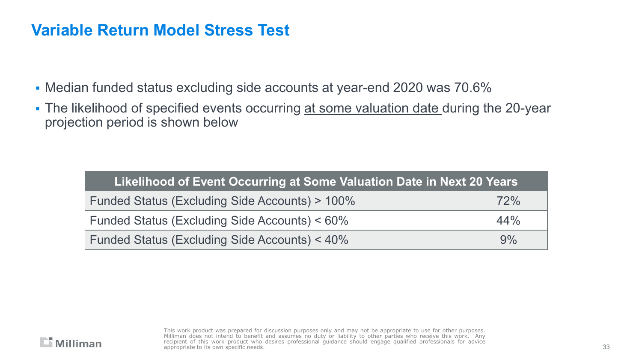- Median funded status excluding side accounts at year-end 2020 was 70.6%
- The likelihood of specified events occurring at some valuation date during the 20-year projection period is shown below

| Likelihood of Event Occurring at Some Valuation Date in Next 20 Years |     |
|-----------------------------------------------------------------------|-----|
| Funded Status (Excluding Side Accounts) > 100%                        | 72% |
| Funded Status (Excluding Side Accounts) < 60%                         | 44% |
| Funded Status (Excluding Side Accounts) < 40%                         | 9%  |

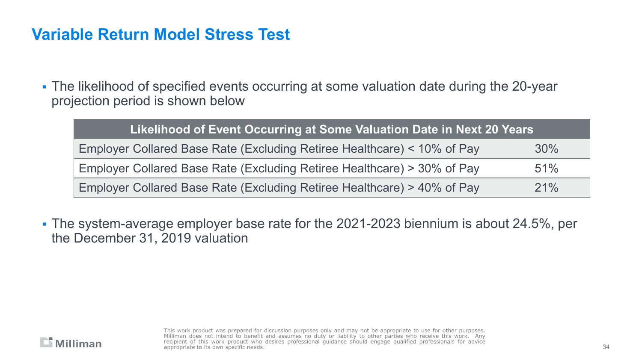The likelihood of specified events occurring at some valuation date during the 20-year projection period is shown below

| Likelihood of Event Occurring at Some Valuation Date in Next 20 Years   |     |
|-------------------------------------------------------------------------|-----|
| Employer Collared Base Rate (Excluding Retiree Healthcare) < 10% of Pay | 30% |
| Employer Collared Base Rate (Excluding Retiree Healthcare) > 30% of Pay | 51% |
| Employer Collared Base Rate (Excluding Retiree Healthcare) > 40% of Pay | 21% |

 The system-average employer base rate for the 2021-2023 biennium is about 24.5%, per the December 31, 2019 valuation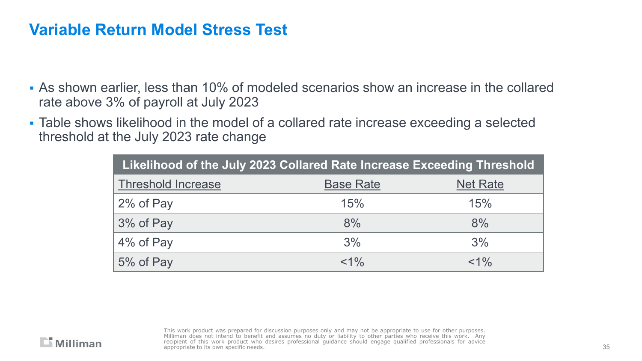- As shown earlier, less than 10% of modeled scenarios show an increase in the collared rate above 3% of payroll at July 2023
- Table shows likelihood in the model of a collared rate increase exceeding a selected threshold at the July 2023 rate change

| Likelihood of the July 2023 Collared Rate Increase Exceeding Threshold |                  |                 |  |  |  |
|------------------------------------------------------------------------|------------------|-----------------|--|--|--|
| <b>Threshold Increase</b>                                              | <b>Base Rate</b> | <b>Net Rate</b> |  |  |  |
| 2% of Pay                                                              | 15%              | 15%             |  |  |  |
| 3% of Pay                                                              | 8%               | 8%              |  |  |  |
| 4% of Pay                                                              | 3%               | 3%              |  |  |  |
| 5% of Pay                                                              | $< 1\%$          | $< 1\%$         |  |  |  |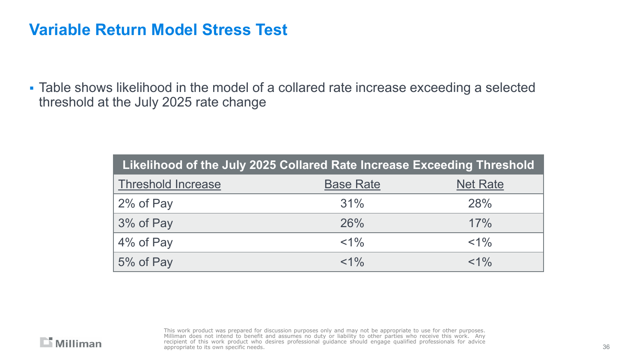Table shows likelihood in the model of a collared rate increase exceeding a selected threshold at the July 2025 rate change

| Likelihood of the July 2025 Collared Rate Increase Exceeding Threshold |                  |                 |  |  |  |
|------------------------------------------------------------------------|------------------|-----------------|--|--|--|
| <b>Threshold Increase</b>                                              | <b>Base Rate</b> | <b>Net Rate</b> |  |  |  |
| 2% of Pay                                                              | 31%              | <b>28%</b>      |  |  |  |
| 3% of Pay                                                              | 26%              | 17%             |  |  |  |
| 4% of Pay                                                              | $< 1\%$          | $< 1\%$         |  |  |  |
| 5% of Pay                                                              | $< 1\%$          | $< 1\%$         |  |  |  |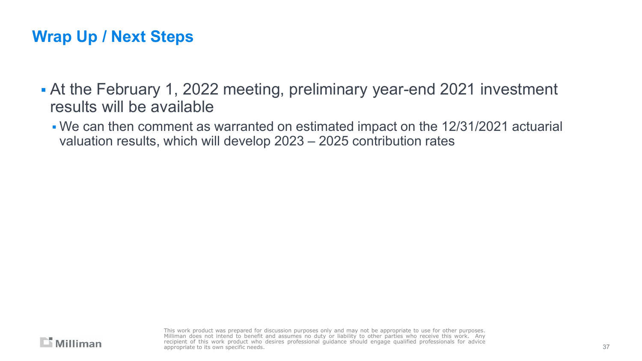## **Wrap Up / Next Steps**

- At the February 1, 2022 meeting, preliminary year-end 2021 investment results will be available
	- We can then comment as warranted on estimated impact on the 12/31/2021 actuarial valuation results, which will develop 2023 – 2025 contribution rates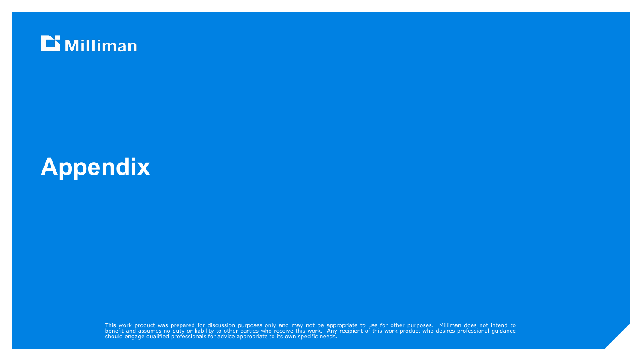

# **Appendix**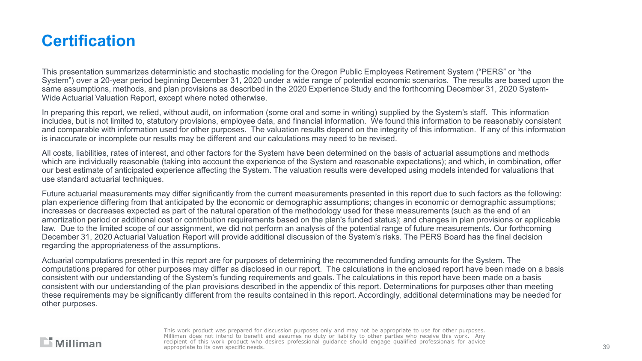## **Certification**

This presentation summarizes deterministic and stochastic modeling for the Oregon Public Employees Retirement System ("PERS" or "the System") over a 20-year period beginning December 31, 2020 under a wide range of potential economic scenarios. The results are based upon the same assumptions, methods, and plan provisions as described in the 2020 Experience Study and the forthcoming December 31, 2020 System-Wide Actuarial Valuation Report, except where noted otherwise.

In preparing this report, we relied, without audit, on information (some oral and some in writing) supplied by the System's staff. This information includes, but is not limited to, statutory provisions, employee data, and financial information. We found this information to be reasonably consistent and comparable with information used for other purposes. The valuation results depend on the integrity of this information. If any of this information is inaccurate or incomplete our results may be different and our calculations may need to be revised.

All costs, liabilities, rates of interest, and other factors for the System have been determined on the basis of actuarial assumptions and methods which are individually reasonable (taking into account the experience of the System and reasonable expectations); and which, in combination, offer our best estimate of anticipated experience affecting the System. The valuation results were developed using models intended for valuations that use standard actuarial techniques.

Future actuarial measurements may differ significantly from the current measurements presented in this report due to such factors as the following: plan experience differing from that anticipated by the economic or demographic assumptions; changes in economic or demographic assumptions; increases or decreases expected as part of the natural operation of the methodology used for these measurements (such as the end of an amortization period or additional cost or contribution requirements based on the plan's funded status); and changes in plan provisions or applicable law. Due to the limited scope of our assignment, we did not perform an analysis of the potential range of future measurements. Our forthcoming December 31, 2020 Actuarial Valuation Report will provide additional discussion of the System's risks. The PERS Board has the final decision regarding the appropriateness of the assumptions.

Actuarial computations presented in this report are for purposes of determining the recommended funding amounts for the System. The computations prepared for other purposes may differ as disclosed in our report. The calculations in the enclosed report have been made on a basis consistent with our understanding of the System's funding requirements and goals. The calculations in this report have been made on a basis consistent with our understanding of the plan provisions described in the appendix of this report. Determinations for purposes other than meeting these requirements may be significantly different from the results contained in this report. Accordingly, additional determinations may be needed for other purposes.

#### $\Box$  Milliman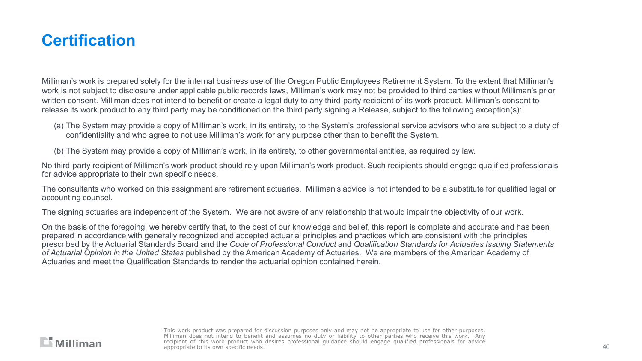## **Certification**

Milliman's work is prepared solely for the internal business use of the Oregon Public Employees Retirement System. To the extent that Milliman's work is not subject to disclosure under applicable public records laws, Milliman's work may not be provided to third parties without Milliman's prior written consent. Milliman does not intend to benefit or create a legal duty to any third-party recipient of its work product. Milliman's consent to release its work product to any third party may be conditioned on the third party signing a Release, subject to the following exception(s):

- (a) The System may provide a copy of Milliman's work, in its entirety, to the System's professional service advisors who are subject to a duty of confidentiality and who agree to not use Milliman's work for any purpose other than to benefit the System.
- (b) The System may provide a copy of Milliman's work, in its entirety, to other governmental entities, as required by law.

No third-party recipient of Milliman's work product should rely upon Milliman's work product. Such recipients should engage qualified professionals for advice appropriate to their own specific needs.

The consultants who worked on this assignment are retirement actuaries. Milliman's advice is not intended to be a substitute for qualified legal or accounting counsel.

The signing actuaries are independent of the System. We are not aware of any relationship that would impair the objectivity of our work.

On the basis of the foregoing, we hereby certify that, to the best of our knowledge and belief, this report is complete and accurate and has been prepared in accordance with generally recognized and accepted actuarial principles and practices which are consistent with the principles prescribed by the Actuarial Standards Board and the *Code of Professional Conduct* and *Qualification Standards for Actuaries Issuing Statements of Actuarial Opinion in the United States* published by the American Academy of Actuaries. We are members of the American Academy of Actuaries and meet the Qualification Standards to render the actuarial opinion contained herein.

#### $\Box$  Milliman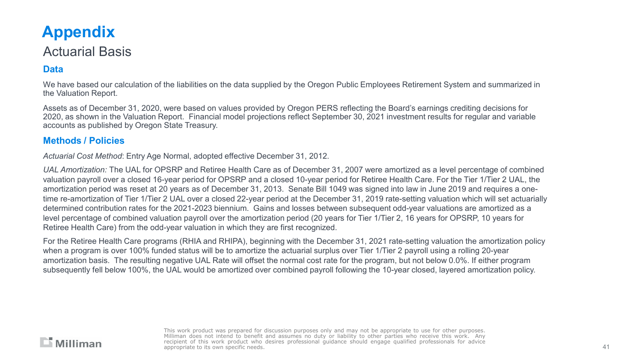## **Appendix**

#### Actuarial Basis

#### **Data**

We have based our calculation of the liabilities on the data supplied by the Oregon Public Employees Retirement System and summarized in the Valuation Report.

Assets as of December 31, 2020, were based on values provided by Oregon PERS reflecting the Board's earnings crediting decisions for 2020, as shown in the Valuation Report. Financial model projections reflect September 30, 2021 investment results for regular and variable accounts as published by Oregon State Treasury.

#### **Methods / Policies**

*Actuarial Cost Method*: Entry Age Normal, adopted effective December 31, 2012.

*UAL Amortization:* The UAL for OPSRP and Retiree Health Care as of December 31, 2007 were amortized as a level percentage of combined valuation payroll over a closed 16-year period for OPSRP and a closed 10-year period for Retiree Health Care. For the Tier 1/Tier 2 UAL, the amortization period was reset at 20 years as of December 31, 2013. Senate Bill 1049 was signed into law in June 2019 and requires a onetime re-amortization of Tier 1/Tier 2 UAL over a closed 22-year period at the December 31, 2019 rate-setting valuation which will set actuarially determined contribution rates for the 2021-2023 biennium. Gains and losses between subsequent odd-year valuations are amortized as a level percentage of combined valuation payroll over the amortization period (20 years for Tier 1/Tier 2, 16 years for OPSRP, 10 years for Retiree Health Care) from the odd-year valuation in which they are first recognized.

For the Retiree Health Care programs (RHIA and RHIPA), beginning with the December 31, 2021 rate-setting valuation the amortization policy when a program is over 100% funded status will be to amortize the actuarial surplus over Tier 1/Tier 2 payroll using a rolling 20-year amortization basis. The resulting negative UAL Rate will offset the normal cost rate for the program, but not below 0.0%. If either program subsequently fell below 100%, the UAL would be amortized over combined payroll following the 10-year closed, layered amortization policy.

#### $\Box$  Milliman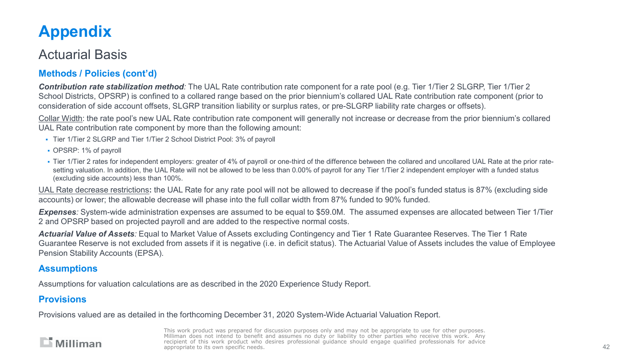## **Appendix**

#### Actuarial Basis

#### **Methods / Policies (cont'd)**

*Contribution rate stabilization method:* The UAL Rate contribution rate component for a rate pool (e.g. Tier 1/Tier 2 SLGRP, Tier 1/Tier 2 School Districts, OPSRP) is confined to a collared range based on the prior biennium's collared UAL Rate contribution rate component (prior to consideration of side account offsets, SLGRP transition liability or surplus rates, or pre-SLGRP liability rate charges or offsets).

Collar Width: the rate pool's new UAL Rate contribution rate component will generally not increase or decrease from the prior biennium's collared UAL Rate contribution rate component by more than the following amount:

- Tier 1/Tier 2 SLGRP and Tier 1/Tier 2 School District Pool: 3% of payroll
- OPSRP: 1% of payroll
- Tier 1/Tier 2 rates for independent employers: greater of 4% of payroll or one-third of the difference between the collared and uncollared UAL Rate at the prior ratesetting valuation. In addition, the UAL Rate will not be allowed to be less than 0.00% of payroll for any Tier 1/Tier 2 independent employer with a funded status (excluding side accounts) less than 100%.

UAL Rate decrease restrictions**:** the UAL Rate for any rate pool will not be allowed to decrease if the pool's funded status is 87% (excluding side accounts) or lower; the allowable decrease will phase into the full collar width from 87% funded to 90% funded.

*Expenses:* System-wide administration expenses are assumed to be equal to \$59.0M. The assumed expenses are allocated between Tier 1/Tier 2 and OPSRP based on projected payroll and are added to the respective normal costs.

*Actuarial Value of Assets:* Equal to Market Value of Assets excluding Contingency and Tier 1 Rate Guarantee Reserves. The Tier 1 Rate Guarantee Reserve is not excluded from assets if it is negative (i.e. in deficit status). The Actuarial Value of Assets includes the value of Employee Pension Stability Accounts (EPSA).

#### **Assumptions**

Assumptions for valuation calculations are as described in the 2020 Experience Study Report.

#### **Provisions**

Provisions valued are as detailed in the forthcoming December 31, 2020 System-Wide Actuarial Valuation Report.

#### $\Box$  Milliman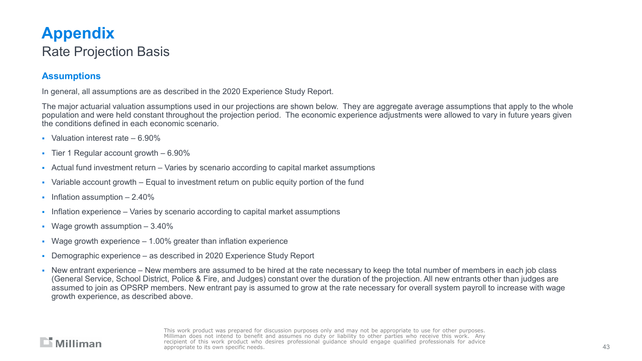## **Appendix**  Rate Projection Basis

#### **Assumptions**

In general, all assumptions are as described in the 2020 Experience Study Report.

The major actuarial valuation assumptions used in our projections are shown below. They are aggregate average assumptions that apply to the whole population and were held constant throughout the projection period. The economic experience adjustments were allowed to vary in future years given the conditions defined in each economic scenario.

- Valuation interest rate  $-6.90\%$
- $\blacksquare$  Tier 1 Regular account growth  $-6.90\%$
- Actual fund investment return Varies by scenario according to capital market assumptions
- Variable account growth Equal to investment return on public equity portion of the fund
- **Inflation assumption 2.40%**
- Inflation experience Varies by scenario according to capital market assumptions
- Wage growth assumption 3.40%
- Wage growth experience  $-1.00\%$  greater than inflation experience
- Demographic experience as described in 2020 Experience Study Report
- New entrant experience New members are assumed to be hired at the rate necessary to keep the total number of members in each job class (General Service, School District, Police & Fire, and Judges) constant over the duration of the projection. All new entrants other than judges are assumed to join as OPSRP members. New entrant pay is assumed to grow at the rate necessary for overall system payroll to increase with wage growth experience, as described above.

#### $\Box$  Milliman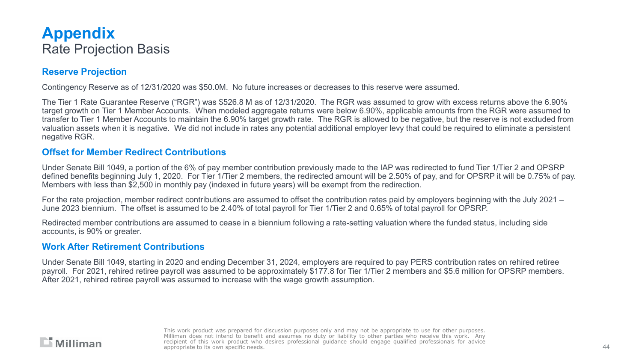#### **Appendix**  Rate Projection Basis

#### **Reserve Projection**

Contingency Reserve as of 12/31/2020 was \$50.0M. No future increases or decreases to this reserve were assumed.

The Tier 1 Rate Guarantee Reserve ("RGR") was \$526.8 M as of 12/31/2020. The RGR was assumed to grow with excess returns above the 6.90% target growth on Tier 1 Member Accounts. When modeled aggregate returns were below 6.90%, applicable amounts from the RGR were assumed to transfer to Tier 1 Member Accounts to maintain the 6.90% target growth rate. The RGR is allowed to be negative, but the reserve is not excluded from valuation assets when it is negative. We did not include in rates any potential additional employer levy that could be required to eliminate a persistent negative RGR.

#### **Offset for Member Redirect Contributions**

Under Senate Bill 1049, a portion of the 6% of pay member contribution previously made to the IAP was redirected to fund Tier 1/Tier 2 and OPSRP defined benefits beginning July 1, 2020. For Tier 1/Tier 2 members, the redirected amount will be 2.50% of pay, and for OPSRP it will be 0.75% of pay. Members with less than \$2,500 in monthly pay (indexed in future years) will be exempt from the redirection.

For the rate projection, member redirect contributions are assumed to offset the contribution rates paid by employers beginning with the July 2021 – June 2023 biennium. The offset is assumed to be 2.40% of total payroll for Tier 1/Tier 2 and 0.65% of total payroll for OPSRP.

Redirected member contributions are assumed to cease in a biennium following a rate-setting valuation where the funded status, including side accounts, is 90% or greater.

#### **Work After Retirement Contributions**

Under Senate Bill 1049, starting in 2020 and ending December 31, 2024, employers are required to pay PERS contribution rates on rehired retiree payroll. For 2021, rehired retiree payroll was assumed to be approximately \$177.8 for Tier 1/Tier 2 members and \$5.6 million for OPSRP members. After 2021, rehired retiree payroll was assumed to increase with the wage growth assumption.

#### $\Box$  Milliman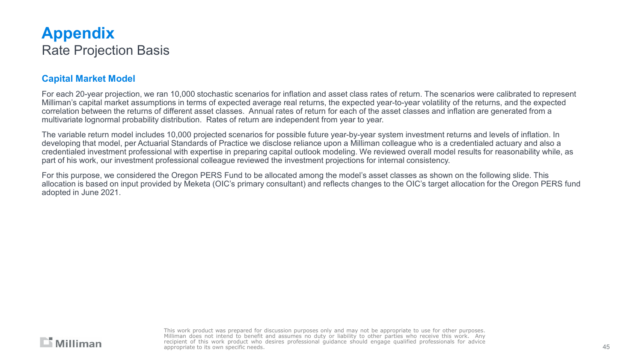#### **Appendix**  Rate Projection Basis

#### **Capital Market Model**

For each 20-year projection, we ran 10,000 stochastic scenarios for inflation and asset class rates of return. The scenarios were calibrated to represent Milliman's capital market assumptions in terms of expected average real returns, the expected year-to-year volatility of the returns, and the expected correlation between the returns of different asset classes. Annual rates of return for each of the asset classes and inflation are generated from a multivariate lognormal probability distribution. Rates of return are independent from year to year.

The variable return model includes 10,000 projected scenarios for possible future year-by-year system investment returns and levels of inflation. In developing that model, per Actuarial Standards of Practice we disclose reliance upon a Milliman colleague who is a credentialed actuary and also a credentialed investment professional with expertise in preparing capital outlook modeling. We reviewed overall model results for reasonability while, as part of his work, our investment professional colleague reviewed the investment projections for internal consistency.

For this purpose, we considered the Oregon PERS Fund to be allocated among the model's asset classes as shown on the following slide. This allocation is based on input provided by Meketa (OIC's primary consultant) and reflects changes to the OIC's target allocation for the Oregon PERS fund adopted in June 2021.

#### $\Box$  Milliman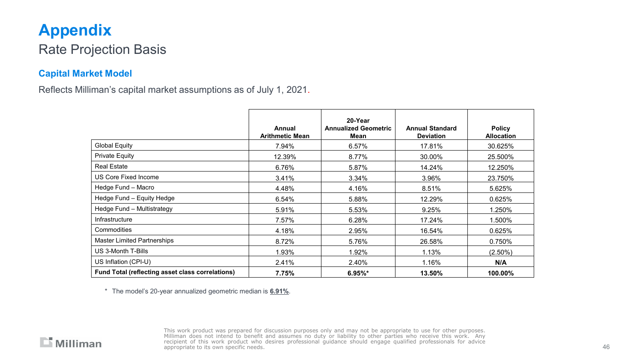## **Appendix**

#### Rate Projection Basis

#### **Capital Market Model**

Reflects Milliman's capital market assumptions as of July 1, 2021.

|                                                  | Annual<br><b>Arithmetic Mean</b> | 20-Year<br><b>Annualized Geometric</b><br>Mean | <b>Annual Standard</b><br><b>Deviation</b> | <b>Policy</b><br><b>Allocation</b> |
|--------------------------------------------------|----------------------------------|------------------------------------------------|--------------------------------------------|------------------------------------|
| <b>Global Equity</b>                             | 7.94%                            | 6.57%                                          | 17.81%                                     | 30.625%                            |
| <b>Private Equity</b>                            | 12.39%                           | 8.77%                                          | 30.00%                                     | 25.500%                            |
| <b>Real Estate</b>                               | 6.76%                            | 5.87%                                          | 14.24%                                     | 12.250%                            |
| US Core Fixed Income                             | 3.41%                            | 3.34%                                          | 3.96%                                      | 23.750%                            |
| Hedge Fund - Macro                               | 4.48%                            | 4.16%                                          | 8.51%                                      | 5.625%                             |
| Hedge Fund - Equity Hedge                        | 6.54%                            | 5.88%                                          | 12.29%                                     | 0.625%                             |
| Hedge Fund - Multistrategy                       | 5.91%                            | 5.53%                                          | 9.25%                                      | 1.250%                             |
| Infrastructure                                   | 7.57%                            | 6.28%                                          | 17.24%                                     | 1.500%                             |
| Commodities                                      | 4.18%                            | 2.95%                                          | 16.54%                                     | 0.625%                             |
| <b>Master Limited Partnerships</b>               | 8.72%                            | 5.76%                                          | 26.58%                                     | 0.750%                             |
| US 3-Month T-Bills                               | 1.93%                            | 1.92%                                          | 1.13%                                      | $(2.50\%)$                         |
| US Inflation (CPI-U)                             | 2.41%                            | 2.40%                                          | 1.16%                                      | N/A                                |
| Fund Total (reflecting asset class correlations) | 7.75%                            | $6.95\%$ *                                     | 13.50%                                     | 100.00%                            |

\* The model's 20-year annualized geometric median is **6.91%**.